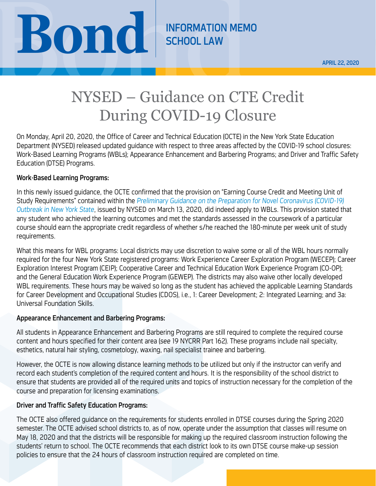

## NYSED – Guidance on CTE Credit During COVID-19 Closure

On Monday, April 20, 2020, the Office of Career and Technical Education (OCTE) in the New York State Education Department (NYSED) released updated guidance with respect to three areas affected by the COVID-19 school closures: Work-Based Learning Programs (WBLs); Appearance Enhancement and Barbering Programs; and Driver and Traffic Safety Education (DTSE) Programs.

## Work-Based Learning Programs:

In this newly issued guidance, the OCTE confirmed that the provision on "Earning Course Credit and Meeting Unit of Study Requirements" contained within the *[Preliminary Guidance on the Preparation for Novel Coronavirus \(COVID-19\)](http://www.nysed.gov/common/nysed/files/programs/coronavirus/nysed-covid-19-second-guidance-3-13-20.pdf)  [Outbreak in New York State](http://www.nysed.gov/common/nysed/files/programs/coronavirus/nysed-covid-19-second-guidance-3-13-20.pdf)*, issued by NYSED on March 13, 2020, did indeed apply to WBLs. This provision stated that any student who achieved the learning outcomes and met the standards assessed in the coursework of a particular course should earn the appropriate credit regardless of whether s/he reached the 180-minute per week unit of study requirements.

What this means for WBL programs: Local districts may use discretion to waive some or all of the WBL hours normally required for the four New York State registered programs: Work Experience Career Exploration Program (WECEP); Career Exploration Interest Program (CEIP); Cooperative Career and Technical Education Work Experience Program (CO-OP); and the General Education Work Experience Program (GEWEP). The districts may also waive other locally developed WBL requirements. These hours may be waived so long as the student has achieved the applicable Learning Standards for Career Development and Occupational Studies (CDOS), i.e., 1: Career Development; 2: Integrated Learning; and 3a: Universal Foundation Skills.

## Appearance Enhancement and Barbering Programs:

All students in Appearance Enhancement and Barbering Programs are still required to complete the required course content and hours specified for their content area (*see* 19 NYCRR Part 162). These programs include nail specialty, esthetics, natural hair styling, cosmetology, waxing, nail specialist trainee and barbering.

However, the OCTE is now allowing distance learning methods to be utilized but only if the instructor can verify and record each student's completion of the required content and hours. It is the responsibility of the school district to ensure that students are provided all of the required units and topics of instruction necessary for the completion of the course and preparation for licensing examinations.

## Driver and Traffic Safety Education Programs:

The OCTE also offered guidance on the requirements for students enrolled in DTSE courses during the Spring 2020 semester. The OCTE advised school districts to, as of now, operate under the assumption that classes will resume on May 18, 2020 and that the districts will be responsible for making up the required classroom instruction following the students' return to school. The OCTE recommends that each district look to its own DTSE course make-up session policies to ensure that the 24 hours of classroom instruction required are completed on time.